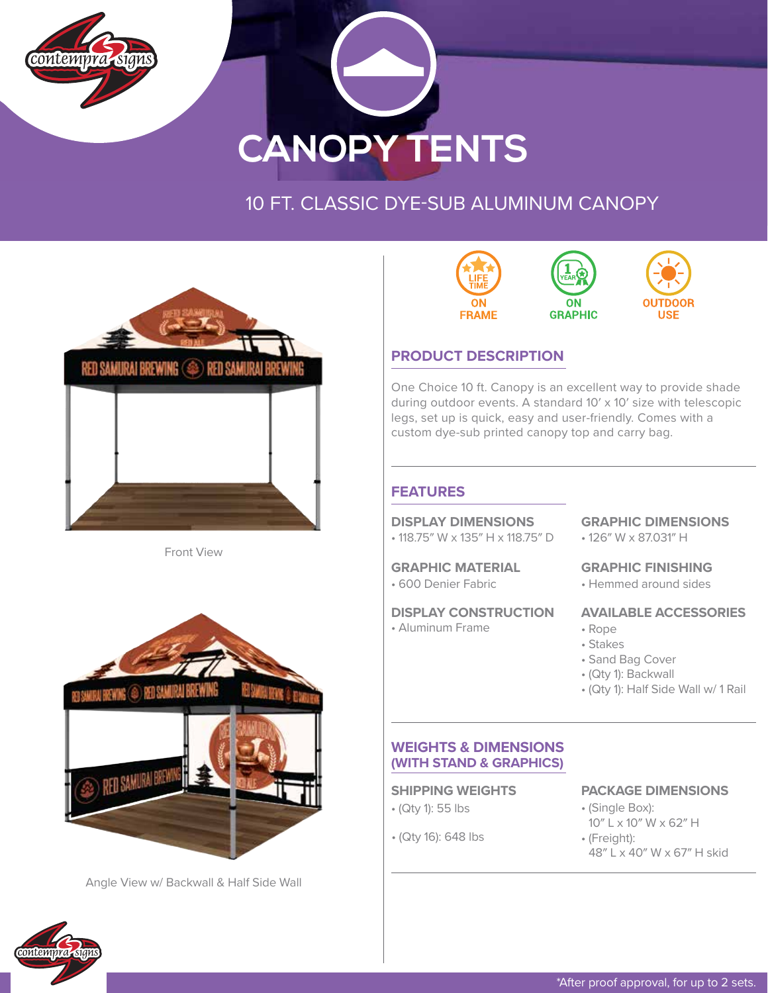



## 10 FT. CLASSIC DYE-SUB ALUMINUM CANOPY



Front View



Angle View w/ Backwall & Half Side Wall



### **PRODUCT DESCRIPTION**

One Choice 10 ft. Canopy is an excellent way to provide shade during outdoor events. A standard 10′ x 10′ size with telescopic legs, set up is quick, easy and user-friendly. Comes with a custom dye-sub printed canopy top and carry bag.

#### **FEATURES**

#### **DISPLAY DIMENSIONS**

• 118.75″ W x 135″ H x 118.75″ D

#### **GRAPHIC MATERIAL**

• 600 Denier Fabric

#### **DISPLAY CONSTRUCTION**

• Aluminum Frame

### **GRAPHIC DIMENSIONS**

• 126″ W x 87.031″ H

#### **GRAPHIC FINISHING**

• Hemmed around sides

#### **AVAILABLE ACCESSORIES**

- Rope
- Stakes
- Sand Bag Cover
- (Qty 1): Backwall
- (Qty 1): Half Side Wall w/ 1 Rail

#### **WEIGHTS & DIMENSIONS (WITH STAND & GRAPHICS)**

- (Qty 1): 55 lbs
- (Qty 16): 648 lbs

#### **SHIPPING WEIGHTS PACKAGE DIMENSIONS**

- (Single Box): 10″ L x 10″ W x 62″ H
- (Freight):
	- 48″ L x 40″ W x 67″ H skid

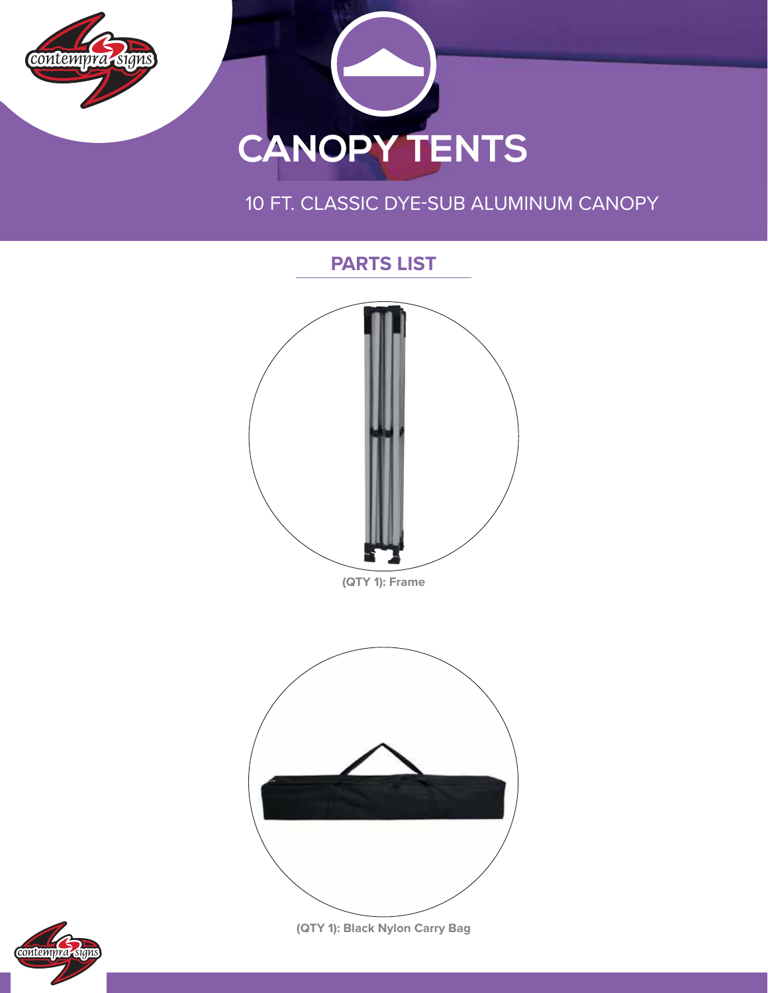

## 10 FT. CLASSIC DYE-SUB ALUMINUM CANOPY





**(QTY 1): Black Nylon Carry Bag**